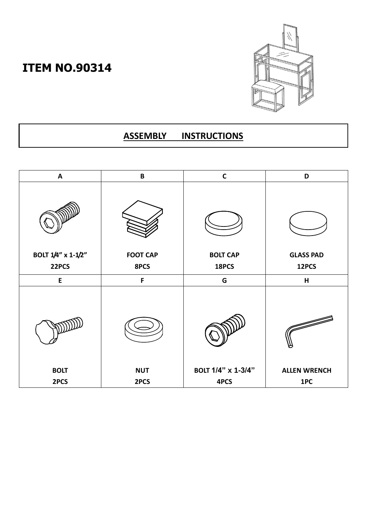## **ITEM NO.90314**



## **ASSEMBLY INSTRUCTIONS**

| A                   | $\, {\bf B} \,$    | $\mathbf c$                | D                          |
|---------------------|--------------------|----------------------------|----------------------------|
|                     |                    |                            |                            |
| BOLT 1/4" x 1-1/2"  | <b>FOOT CAP</b>    | <b>BOLT CAP</b>            | <b>GLASS PAD</b>           |
| 22PCS               | 8PCS               | 18PCS                      | 12PCS                      |
| ${\sf E}$           | F                  | G                          | H                          |
|                     |                    |                            |                            |
| <b>BOLT</b><br>2PCS | <b>NUT</b><br>2PCS | BOLT 1/4" x 1-3/4"<br>4PCS | <b>ALLEN WRENCH</b><br>1PC |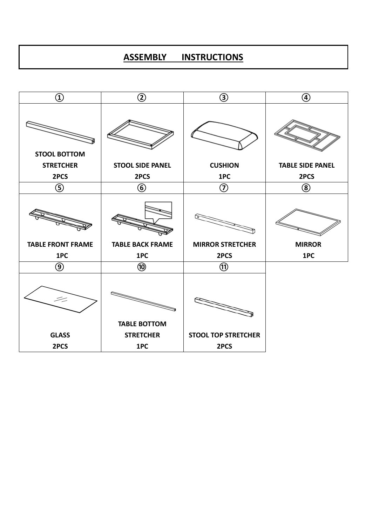## **ASSEMBLY INSTRUCTIONS**

| $^\copyright$            | $^\copyright$           | $\circledS$                | $^\circledR$            |
|--------------------------|-------------------------|----------------------------|-------------------------|
| <b>STOOL BOTTOM</b>      |                         |                            |                         |
| <b>STRETCHER</b>         | <b>STOOL SIDE PANEL</b> | <b>CUSHION</b>             | <b>TABLE SIDE PANEL</b> |
| 2PCS                     | 2PCS                    | 1PC                        | 2PCS                    |
| $\circledS$              | $\circledast$           | $^\copyright$              | $\circledS$             |
|                          |                         |                            |                         |
| <b>TABLE FRONT FRAME</b> | <b>TABLE BACK FRAME</b> | <b>MIRROR STRETCHER</b>    | <b>MIRROR</b>           |
| 1PC                      | 1PC                     | 2PCS                       | 1PC                     |
| $\circledS$              | $\circledR$             | $^{\circledR}$             |                         |
| $\tilde{\mathcal{Z}}$    |                         |                            |                         |
|                          | <b>TABLE BOTTOM</b>     |                            |                         |
| <b>GLASS</b>             | <b>STRETCHER</b>        | <b>STOOL TOP STRETCHER</b> |                         |
| 2PCS                     | 1PC                     | 2PCS                       |                         |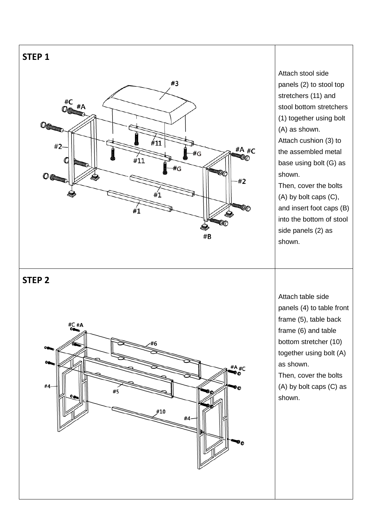